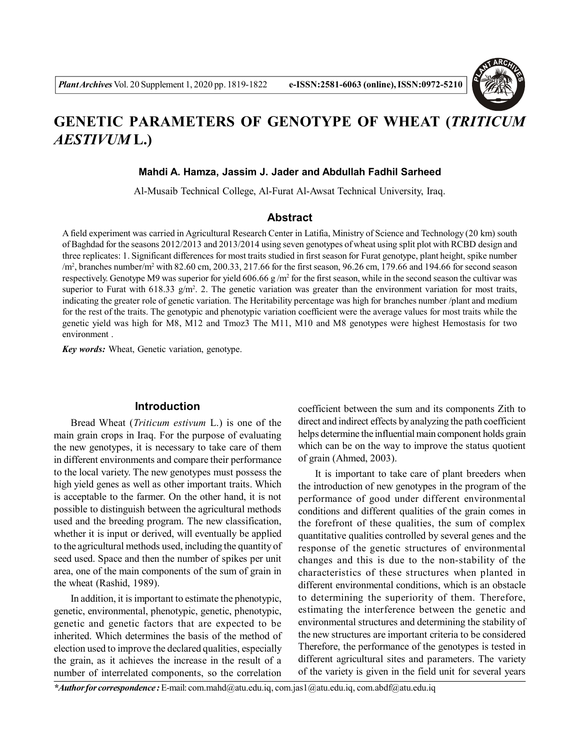

# **GENETIC PARAMETERS OF GENOTYPE OF WHEAT (***TRITICUM AESTIVUM* **L.)**

**Mahdi A. Hamza, Jassim J. Jader and Abdullah Fadhil Sarheed**

Al-Musaib Technical College, Al-Furat Al-Awsat Technical University, Iraq.

# **Abstract**

A field experiment was carried in Agricultural Research Center in Latifia, Ministry of Science and Technology (20 km) south of Baghdad for the seasons 2012/2013 and 2013/2014 using seven genotypes of wheat using split plot with RCBD design and three replicates: 1. Significant differences for most traits studied in first season for Furat genotype, plant height, spike number  $/m<sup>2</sup>$ , branches number/m<sup>2</sup> with 82.60 cm, 200.33, 217.66 for the first season, 96.26 cm, 179.66 and 194.66 for second season respectively. Genotype M9 was superior for yield  $606.66 g/m<sup>2</sup>$  for the first season, while in the second season the cultivar was superior to Furat with 618.33  $g/m^2$ . 2. The genetic variation was greater than the environment variation for most traits, indicating the greater role of genetic variation. The Heritability percentage was high for branches number /plant and medium for the rest of the traits. The genotypic and phenotypic variation coefficient were the average values for most traits while the genetic yield was high for M8, M12 and Tmoz3 The M11, M10 and M8 genotypes were highest Hemostasis for two environment .

*Key words:* Wheat, Genetic variation, genotype.

# **Introduction**

Bread Wheat (*Triticum estivum* L.) is one of the main grain crops in Iraq. For the purpose of evaluating the new genotypes, it is necessary to take care of them in different environments and compare their performance to the local variety. The new genotypes must possess the high yield genes as well as other important traits. Which is acceptable to the farmer. On the other hand, it is not possible to distinguish between the agricultural methods used and the breeding program. The new classification, whether it is input or derived, will eventually be applied to the agricultural methods used, including the quantity of seed used. Space and then the number of spikes per unit area, one of the main components of the sum of grain in the wheat (Rashid, 1989).

In addition, it is important to estimate the phenotypic, genetic, environmental, phenotypic, genetic, phenotypic, genetic and genetic factors that are expected to be inherited. Which determines the basis of the method of election used to improve the declared qualities, especially the grain, as it achieves the increase in the result of a number of interrelated components, so the correlation

coefficient between the sum and its components Zith to direct and indirect effects by analyzing the path coefficient helps determine the influential main component holds grain which can be on the way to improve the status quotient of grain (Ahmed, 2003).

It is important to take care of plant breeders when the introduction of new genotypes in the program of the performance of good under different environmental conditions and different qualities of the grain comes in the forefront of these qualities, the sum of complex quantitative qualities controlled by several genes and the response of the genetic structures of environmental changes and this is due to the non-stability of the characteristics of these structures when planted in different environmental conditions, which is an obstacle to determining the superiority of them. Therefore, estimating the interference between the genetic and environmental structures and determining the stability of the new structures are important criteria to be considered Therefore, the performance of the genotypes is tested in different agricultural sites and parameters. The variety of the variety is given in the field unit for several years

*\*Author for correspondence :* E-mail: com.mahd@atu.edu.iq, com.jas1@atu.edu.iq, com.abdf@atu.edu.iq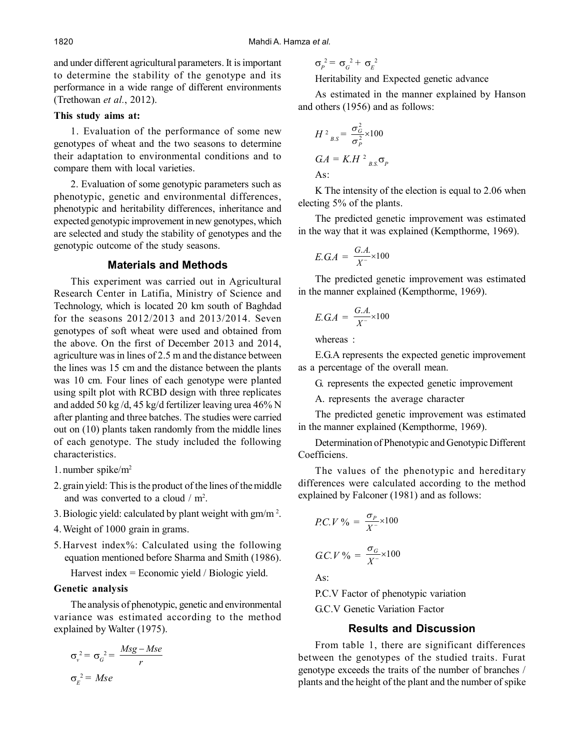and under different agricultural parameters. It is important to determine the stability of the genotype and its performance in a wide range of different environments (Trethowan *et al.*, 2012).

## **This study aims at:**

1. Evaluation of the performance of some new genotypes of wheat and the two seasons to determine their adaptation to environmental conditions and to compare them with local varieties.

2. Evaluation of some genotypic parameters such as phenotypic, genetic and environmental differences, phenotypic and heritability differences, inheritance and expected genotypic improvement in new genotypes, which are selected and study the stability of genotypes and the genotypic outcome of the study seasons.

# **Materials and Methods**

This experiment was carried out in Agricultural Research Center in Latifia, Ministry of Science and Technology, which is located 20 km south of Baghdad for the seasons 2012/2013 and 2013/2014. Seven genotypes of soft wheat were used and obtained from the above. On the first of December 2013 and 2014, agriculture was in lines of 2.5 m and the distance between the lines was 15 cm and the distance between the plants was 10 cm. Four lines of each genotype were planted using spilt plot with RCBD design with three replicates and added 50 kg /d, 45 kg/d fertilizer leaving urea 46% N after planting and three batches. The studies were carried out on (10) plants taken randomly from the middle lines of each genotype. The study included the following characteristics.

- 1. number spike/m<sup>2</sup>
- 2. grain yield: This is the product of the lines of the middle and was converted to a cloud  $/m^2$ .
- 3. Biologic yield: calculated by plant weight with  $gm/m<sup>2</sup>$ .
- 4.Weight of 1000 grain in grams.
- 5.Harvest index%: Calculated using the following equation mentioned before Sharma and Smith (1986).

Harvest index = Economic yield / Biologic yield.

#### **Genetic analysis**

The analysis of phenotypic, genetic and environmental variance was estimated according to the method explained by Walter (1975).

$$
\sigma_v^2 = \sigma_G^2 = \frac{Msg - Mse}{r}
$$

$$
\sigma_E^2 = Mse
$$

$$
\sigma_p^2 = \sigma_G^2 + \sigma_E^2
$$

Heritability and Expected genetic advance

As estimated in the manner explained by Hanson and others (1956) and as follows:

$$
H^2_{BS} = \frac{\sigma_G^2}{\sigma_P^2} \times 100
$$
  

$$
GA = K.H^2_{BS} \sigma_P
$$
  
As:

K The intensity of the election is equal to 2.06 when electing 5% of the plants.

The predicted genetic improvement was estimated in the way that it was explained (Kempthorme, 1969).

$$
E.G.A = \frac{G.A.}{X^-} \times 100
$$

The predicted genetic improvement was estimated in the manner explained (Kempthorme, 1969).

$$
E.GA = \frac{G.A.}{X^-} \times 100
$$

whereas :

E.G.A represents the expected genetic improvement as a percentage of the overall mean.

G. represents the expected genetic improvement

A. represents the average character

The predicted genetic improvement was estimated in the manner explained (Kempthorme, 1969).

Determination of Phenotypic and Genotypic Different Coefficiens.

The values of the phenotypic and hereditary differences were calculated according to the method explained by Falconer (1981) and as follows:

$$
PC.V\% = \frac{\sigma_p}{X^-} \times 100
$$

$$
GC.V\% = \frac{\sigma_G}{X} \times 100
$$

 $A_S$ 

P.C.V Factor of phenotypic variation

G.C.V Genetic Variation Factor

## **Results and Discussion**

From table 1, there are significant differences between the genotypes of the studied traits. Furat genotype exceeds the traits of the number of branches / plants and the height of the plant and the number of spike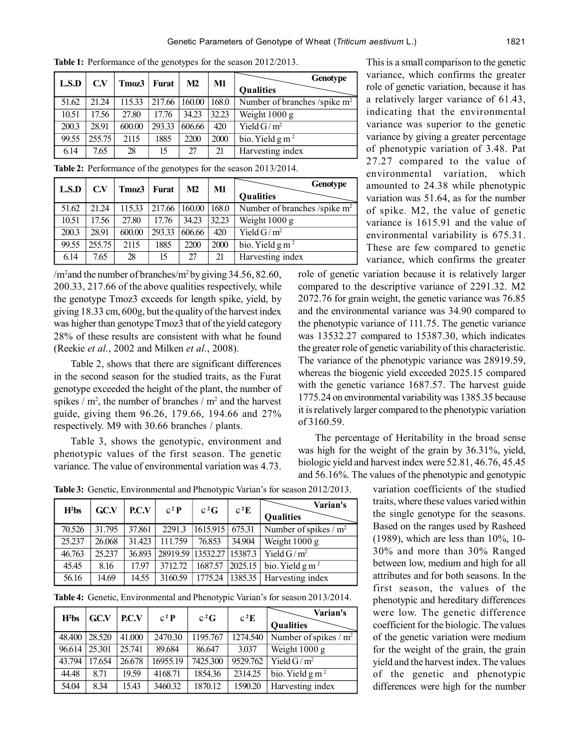| L.S.D | C.V    | Tmoz3  | <b>Furat</b> | M2     | M1    | Genotype                       |
|-------|--------|--------|--------------|--------|-------|--------------------------------|
|       |        |        |              |        |       | <b>Qualities</b>               |
| 51.62 | 21.24  | 115.33 | 217.66       | 160.00 | 168.0 | Number of branches /spike $m2$ |
| 10.51 | 17.56  | 27.80  | 17.76        | 34.23  | 32.23 | Weight $1000 \text{ g}$        |
| 200.3 | 28.91  | 600.00 | 293.33       | 606.66 | 420   | Yield $G/m^2$                  |
| 99.55 | 255.75 | 2115   | 1885         | 2200   | 2000  | bio. Yield $g m^2$             |
| 6.14  | 7.65   | 28     | 15           | 27     | 21    | Harvesting index               |

**Table 1:** Performance of the genotypes for the season 2012/2013.

**Table 2:** Performance of the genotypes for the season 2013/2014.

| L.S.D | C.V    | Tmoz3  | <b>Furat</b>    | M <sub>2</sub> | M1    | Genotype                       |  |                  |
|-------|--------|--------|-----------------|----------------|-------|--------------------------------|--|------------------|
|       |        |        |                 |                |       |                                |  | <b>Qualities</b> |
| 51.62 | 21 24  | 115.33 | 217.66   160.00 |                | 168.0 | Number of branches /spike $m2$ |  |                  |
| 10.51 | 17.56  | 27.80  | 17.76           | 34.23          | 32.23 | Weight $1000 g$                |  |                  |
| 200.3 | 28.91  | 600.00 | 293.33          | 606.66         | 420   | Yield $G/m^2$                  |  |                  |
| 99.55 | 255.75 | 2115   | 1885            | 2200           | 2000  | bio. Yield $g m^2$             |  |                  |
| 6.14  | 7.65   | 28     | 15              | 27             | 21    | Harvesting index               |  |                  |

/m<sup>2</sup> and the number of branches/m<sup>2</sup> by giving 34.56, 82.60, 200.33, 217.66 of the above qualities respectively, while the genotype Tmoz3 exceeds for length spike, yield, by giving 18.33 cm, 600g, but the quality of the harvest index was higher than genotype Tmoz3 that of the yield category 28% of these results are consistent with what he found (Reekie *et al.*, 2002 and Milken *et al.*, 2008).

Table 2, shows that there are significant differences in the second season for the studied traits, as the Furat genotype exceeded the height of the plant, the number of spikes /  $m^2$ , the number of branches /  $m^2$  and the harvest guide, giving them 96.26, 179.66, 194.66 and 27% respectively. M9 with 30.66 branches / plants.

Table 3, shows the genotypic, environment and phenotypic values of the first season. The genetic variance. The value of environmental variation was 4.73.

This is a small comparison to the genetic variance, which confirms the greater role of genetic variation, because it has a relatively larger variance of 61.43, indicating that the environmental variance was superior to the genetic variance by giving a greater percentage of phenotypic variation of 3.48. Pat 27.27 compared to the value of environmental variation, which amounted to 24.38 while phenotypic variation was 51.64, as for the number of spike. M2, the value of genetic variance is 1615.91 and the value of environmental variability is 675.31. These are few compared to genetic variance, which confirms the greater

role of genetic variation because it is relatively larger compared to the descriptive variance of 2291.32. M2 2072.76 for grain weight, the genetic variance was 76.85 and the environmental variance was 34.90 compared to the phenotypic variance of 111.75. The genetic variance was 13532.27 compared to 15387.30, which indicates the greater role of genetic variability of this characteristic. The variance of the phenotypic variance was 28919.59, whereas the biogenic yield exceeded 2025.15 compared with the genetic variance 1687.57. The harvest guide 1775.24 on environmental variability was 1385.35 because it is relatively larger compared to the phenotypic variation of 3160.59.

The percentage of Heritability in the broad sense was high for the weight of the grain by 36.31%, yield, biologic yield and harvest index were 52.81, 46.76, 45.45 and 56.16%. The values of the phenotypic and genotypic

> variation coefficients of the studied traits, where these values varied within the single genotype for the seasons. Based on the ranges used by Rasheed (1989), which are less than 10%, 10- 30% and more than 30% Ranged between low, medium and high for all attributes and for both seasons. In the first season, the values of the phenotypic and hereditary differences were low. The genetic difference coefficient for the biologic. The values of the genetic variation were medium for the weight of the grain, the grain yield and the harvest index. The values of the genetic and phenotypic differences were high for the number

**Table 3:** Genetic, Environmental and Phenotypic Varian's for season 2012/2013.

| $H2$ bs | GC.V   | PC.V   | $C^2 P$ | $c^2G$                     | $c^2E$ | Varian's                                         |
|---------|--------|--------|---------|----------------------------|--------|--------------------------------------------------|
|         |        |        |         |                            |        | Qualities                                        |
| 70.526  | 31.795 | 37.861 |         | 2291.3   1615.915   675.31 |        | Number of spikes / $m^2$                         |
| 25.237  | 26.068 | 31.423 | 111.759 | 76.853                     | 34.904 | Weight $\overline{1000 \text{ g}}$               |
| 46.763  | 25.237 | 36.893 |         |                            |        | 28919.59 13532.27 15387.3 Yield G/m <sup>2</sup> |
| 45.45   | 8.16   | 17.97  | 3712.72 |                            |        | 1687.57   2025.15   bio. Yield g m <sup>2</sup>  |
| 56.16   | 14.69  | 14.55  | 3160.59 |                            |        | 1775.24 1385.35 Harvesting index                 |

**Table 4:** Genetic, Environmental and Phenotypic Varian's for season 2013/2014.

| $H2$ bs | <b>GC.V</b> | PC.V   | $C^2P$   | $c^2G$   | $c^2E$   | Varian's<br><b>Qualities</b>               |
|---------|-------------|--------|----------|----------|----------|--------------------------------------------|
| 48.400  | 28.520      | 41.000 | 2470.30  | 1195.767 | 1274.540 | Number of spikes $/m^2$                    |
| 96.614  | 25.301      | 25.741 | 89.684   | 86.647   | 3.037    | Weight 1000 g                              |
| 43.794  | 17.654      | 26.678 | 16955.19 | 7425.300 | 9529.762 | $\overline{\text{Yield}}$ G/m <sup>2</sup> |
| 44.48   | 8.71        | 19.59  | 4168.71  | 1854.36  | 2314.25  | $\overline{bio}$ . Yield g m <sup>2</sup>  |
| 54.04   | 8.34        | 15.43  | 3460.32  | 1870.12  | 1590.20  | Harvesting index                           |